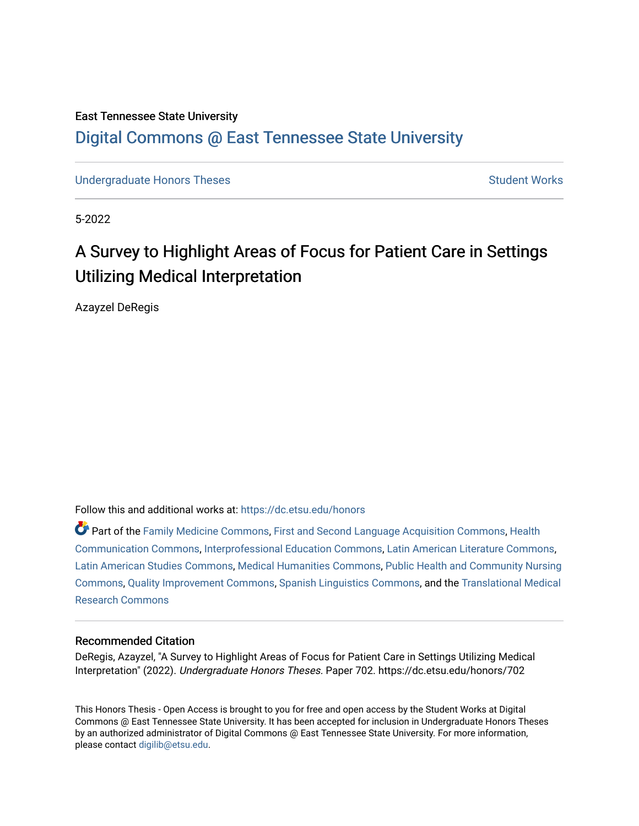### East Tennessee State University [Digital Commons @ East Tennessee State University](https://dc.etsu.edu/)

[Undergraduate Honors Theses](https://dc.etsu.edu/honors) [Student Works](https://dc.etsu.edu/student-works) Student Works

5-2022

# A Survey to Highlight Areas of Focus for Patient Care in Settings Utilizing Medical Interpretation

Azayzel DeRegis

Follow this and additional works at: [https://dc.etsu.edu/honors](https://dc.etsu.edu/honors?utm_source=dc.etsu.edu%2Fhonors%2F702&utm_medium=PDF&utm_campaign=PDFCoverPages)

Part of the [Family Medicine Commons](http://network.bepress.com/hgg/discipline/1354?utm_source=dc.etsu.edu%2Fhonors%2F702&utm_medium=PDF&utm_campaign=PDFCoverPages), [First and Second Language Acquisition Commons](http://network.bepress.com/hgg/discipline/377?utm_source=dc.etsu.edu%2Fhonors%2F702&utm_medium=PDF&utm_campaign=PDFCoverPages), [Health](http://network.bepress.com/hgg/discipline/330?utm_source=dc.etsu.edu%2Fhonors%2F702&utm_medium=PDF&utm_campaign=PDFCoverPages)  [Communication Commons](http://network.bepress.com/hgg/discipline/330?utm_source=dc.etsu.edu%2Fhonors%2F702&utm_medium=PDF&utm_campaign=PDFCoverPages), [Interprofessional Education Commons](http://network.bepress.com/hgg/discipline/1372?utm_source=dc.etsu.edu%2Fhonors%2F702&utm_medium=PDF&utm_campaign=PDFCoverPages), [Latin American Literature Commons](http://network.bepress.com/hgg/discipline/547?utm_source=dc.etsu.edu%2Fhonors%2F702&utm_medium=PDF&utm_campaign=PDFCoverPages), [Latin American Studies Commons](http://network.bepress.com/hgg/discipline/363?utm_source=dc.etsu.edu%2Fhonors%2F702&utm_medium=PDF&utm_campaign=PDFCoverPages), [Medical Humanities Commons](http://network.bepress.com/hgg/discipline/1303?utm_source=dc.etsu.edu%2Fhonors%2F702&utm_medium=PDF&utm_campaign=PDFCoverPages), [Public Health and Community Nursing](http://network.bepress.com/hgg/discipline/725?utm_source=dc.etsu.edu%2Fhonors%2F702&utm_medium=PDF&utm_campaign=PDFCoverPages) [Commons](http://network.bepress.com/hgg/discipline/725?utm_source=dc.etsu.edu%2Fhonors%2F702&utm_medium=PDF&utm_campaign=PDFCoverPages), [Quality Improvement Commons](http://network.bepress.com/hgg/discipline/1430?utm_source=dc.etsu.edu%2Fhonors%2F702&utm_medium=PDF&utm_campaign=PDFCoverPages), [Spanish Linguistics Commons](http://network.bepress.com/hgg/discipline/549?utm_source=dc.etsu.edu%2Fhonors%2F702&utm_medium=PDF&utm_campaign=PDFCoverPages), and the [Translational Medical](http://network.bepress.com/hgg/discipline/1124?utm_source=dc.etsu.edu%2Fhonors%2F702&utm_medium=PDF&utm_campaign=PDFCoverPages)  [Research Commons](http://network.bepress.com/hgg/discipline/1124?utm_source=dc.etsu.edu%2Fhonors%2F702&utm_medium=PDF&utm_campaign=PDFCoverPages) 

#### Recommended Citation

DeRegis, Azayzel, "A Survey to Highlight Areas of Focus for Patient Care in Settings Utilizing Medical Interpretation" (2022). Undergraduate Honors Theses. Paper 702. https://dc.etsu.edu/honors/702

This Honors Thesis - Open Access is brought to you for free and open access by the Student Works at Digital Commons @ East Tennessee State University. It has been accepted for inclusion in Undergraduate Honors Theses by an authorized administrator of Digital Commons @ East Tennessee State University. For more information, please contact [digilib@etsu.edu.](mailto:digilib@etsu.edu)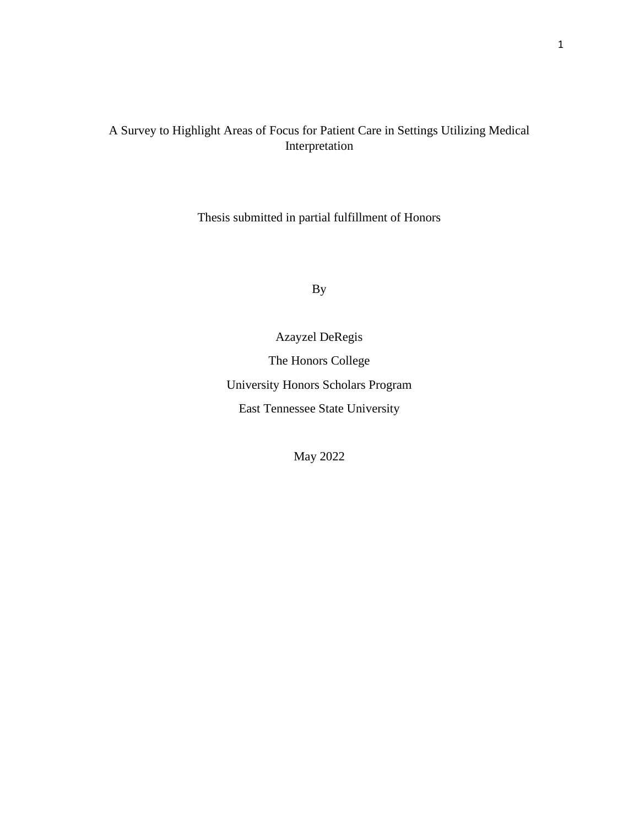### A Survey to Highlight Areas of Focus for Patient Care in Settings Utilizing Medical Interpretation

Thesis submitted in partial fulfillment of Honors

By

Azayzel DeRegis The Honors College University Honors Scholars Program East Tennessee State University

May 2022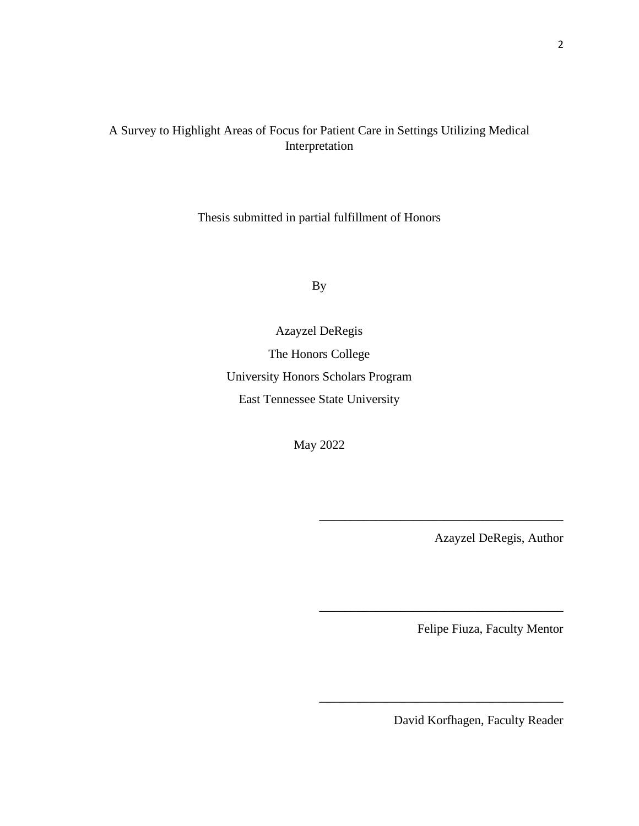### A Survey to Highlight Areas of Focus for Patient Care in Settings Utilizing Medical Interpretation

Thesis submitted in partial fulfillment of Honors

By

Azayzel DeRegis The Honors College University Honors Scholars Program East Tennessee State University

May 2022

Azayzel DeRegis, Author

\_\_\_\_\_\_\_\_\_\_\_\_\_\_\_\_\_\_\_\_\_\_\_\_\_\_\_\_\_\_\_\_\_\_\_\_\_\_\_

\_\_\_\_\_\_\_\_\_\_\_\_\_\_\_\_\_\_\_\_\_\_\_\_\_\_\_\_\_\_\_\_\_\_\_\_\_\_\_

\_\_\_\_\_\_\_\_\_\_\_\_\_\_\_\_\_\_\_\_\_\_\_\_\_\_\_\_\_\_\_\_\_\_\_\_\_\_\_

Felipe Fiuza, Faculty Mentor

David Korfhagen, Faculty Reader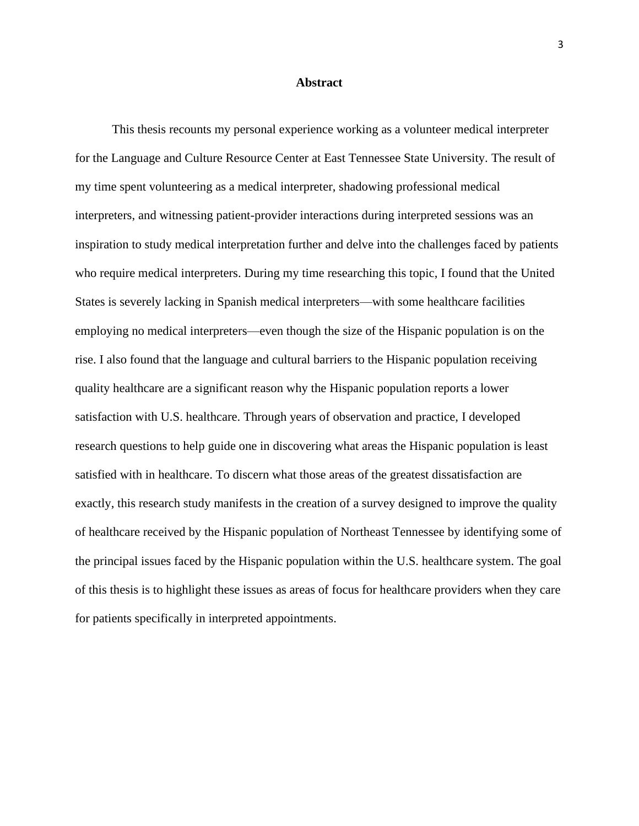#### **Abstract**

This thesis recounts my personal experience working as a volunteer medical interpreter for the Language and Culture Resource Center at East Tennessee State University. The result of my time spent volunteering as a medical interpreter, shadowing professional medical interpreters, and witnessing patient-provider interactions during interpreted sessions was an inspiration to study medical interpretation further and delve into the challenges faced by patients who require medical interpreters. During my time researching this topic, I found that the United States is severely lacking in Spanish medical interpreters—with some healthcare facilities employing no medical interpreters—even though the size of the Hispanic population is on the rise. I also found that the language and cultural barriers to the Hispanic population receiving quality healthcare are a significant reason why the Hispanic population reports a lower satisfaction with U.S. healthcare. Through years of observation and practice, I developed research questions to help guide one in discovering what areas the Hispanic population is least satisfied with in healthcare. To discern what those areas of the greatest dissatisfaction are exactly, this research study manifests in the creation of a survey designed to improve the quality of healthcare received by the Hispanic population of Northeast Tennessee by identifying some of the principal issues faced by the Hispanic population within the U.S. healthcare system. The goal of this thesis is to highlight these issues as areas of focus for healthcare providers when they care for patients specifically in interpreted appointments.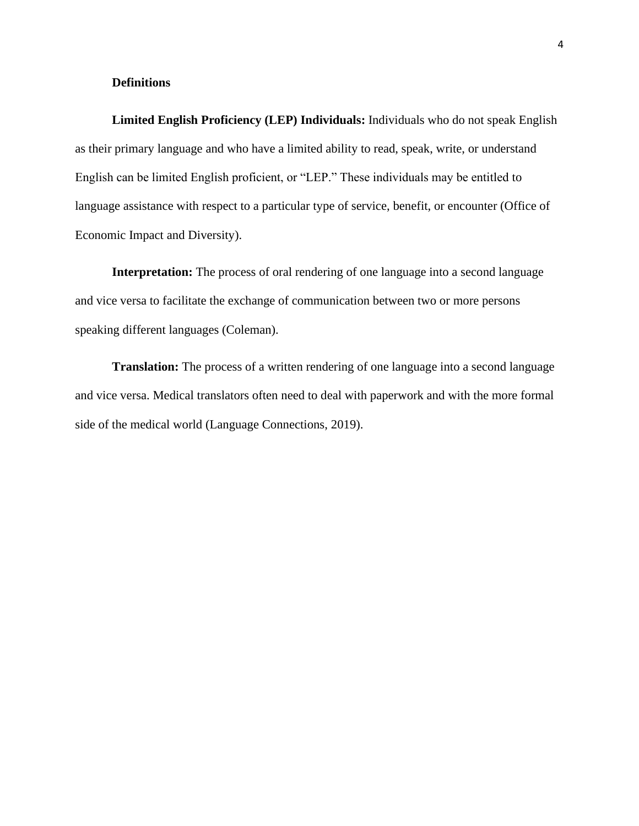#### **Definitions**

**Limited English Proficiency (LEP) Individuals:** Individuals who do not speak English as their primary language and who have a limited ability to read, speak, write, or understand English can be limited English proficient, or "LEP." These individuals may be entitled to language assistance with respect to a particular type of service, benefit, or encounter (Office of Economic Impact and Diversity).

**Interpretation:** The process of oral rendering of one language into a second language and vice versa to facilitate the exchange of communication between two or more persons speaking different languages (Coleman).

**Translation:** The process of a written rendering of one language into a second language and vice versa. Medical translators often need to deal with paperwork and with the more formal side of the medical world (Language Connections, 2019).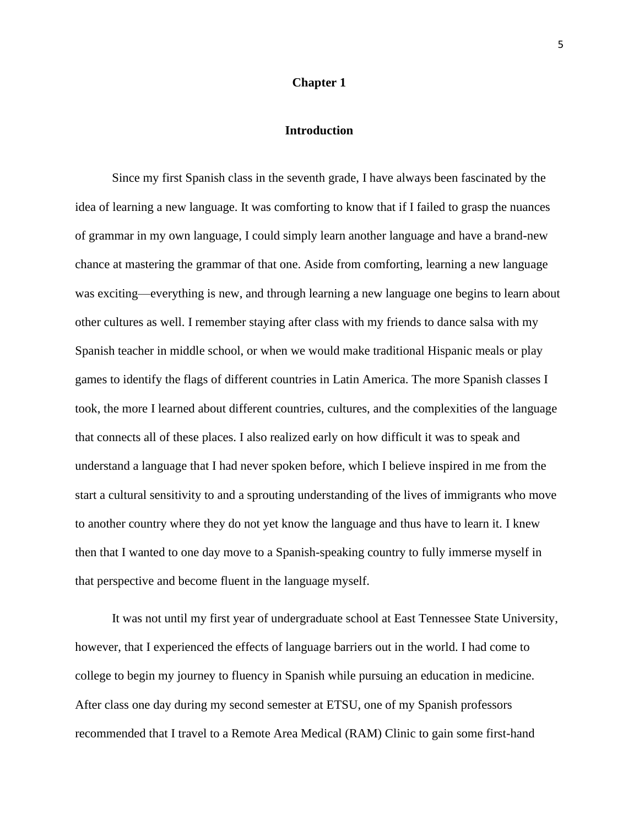#### **Chapter 1**

#### **Introduction**

Since my first Spanish class in the seventh grade, I have always been fascinated by the idea of learning a new language. It was comforting to know that if I failed to grasp the nuances of grammar in my own language, I could simply learn another language and have a brand-new chance at mastering the grammar of that one. Aside from comforting, learning a new language was exciting—everything is new, and through learning a new language one begins to learn about other cultures as well. I remember staying after class with my friends to dance salsa with my Spanish teacher in middle school, or when we would make traditional Hispanic meals or play games to identify the flags of different countries in Latin America. The more Spanish classes I took, the more I learned about different countries, cultures, and the complexities of the language that connects all of these places. I also realized early on how difficult it was to speak and understand a language that I had never spoken before, which I believe inspired in me from the start a cultural sensitivity to and a sprouting understanding of the lives of immigrants who move to another country where they do not yet know the language and thus have to learn it. I knew then that I wanted to one day move to a Spanish-speaking country to fully immerse myself in that perspective and become fluent in the language myself.

It was not until my first year of undergraduate school at East Tennessee State University, however, that I experienced the effects of language barriers out in the world. I had come to college to begin my journey to fluency in Spanish while pursuing an education in medicine. After class one day during my second semester at ETSU, one of my Spanish professors recommended that I travel to a Remote Area Medical (RAM) Clinic to gain some first-hand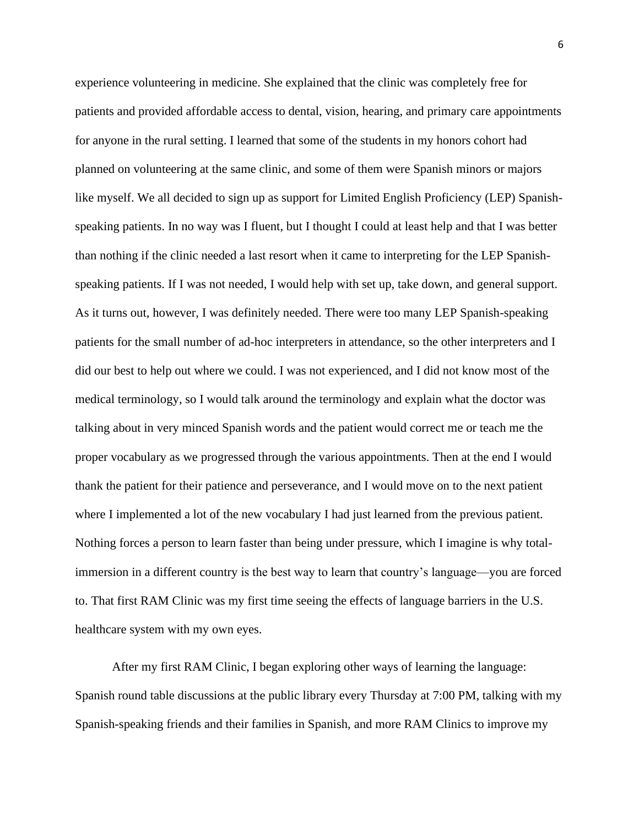experience volunteering in medicine. She explained that the clinic was completely free for patients and provided affordable access to dental, vision, hearing, and primary care appointments for anyone in the rural setting. I learned that some of the students in my honors cohort had planned on volunteering at the same clinic, and some of them were Spanish minors or majors like myself. We all decided to sign up as support for Limited English Proficiency (LEP) Spanishspeaking patients. In no way was I fluent, but I thought I could at least help and that I was better than nothing if the clinic needed a last resort when it came to interpreting for the LEP Spanishspeaking patients. If I was not needed, I would help with set up, take down, and general support. As it turns out, however, I was definitely needed. There were too many LEP Spanish-speaking patients for the small number of ad-hoc interpreters in attendance, so the other interpreters and I did our best to help out where we could. I was not experienced, and I did not know most of the medical terminology, so I would talk around the terminology and explain what the doctor was talking about in very minced Spanish words and the patient would correct me or teach me the proper vocabulary as we progressed through the various appointments. Then at the end I would thank the patient for their patience and perseverance, and I would move on to the next patient where I implemented a lot of the new vocabulary I had just learned from the previous patient. Nothing forces a person to learn faster than being under pressure, which I imagine is why totalimmersion in a different country is the best way to learn that country's language—you are forced to. That first RAM Clinic was my first time seeing the effects of language barriers in the U.S. healthcare system with my own eyes.

After my first RAM Clinic, I began exploring other ways of learning the language: Spanish round table discussions at the public library every Thursday at 7:00 PM, talking with my Spanish-speaking friends and their families in Spanish, and more RAM Clinics to improve my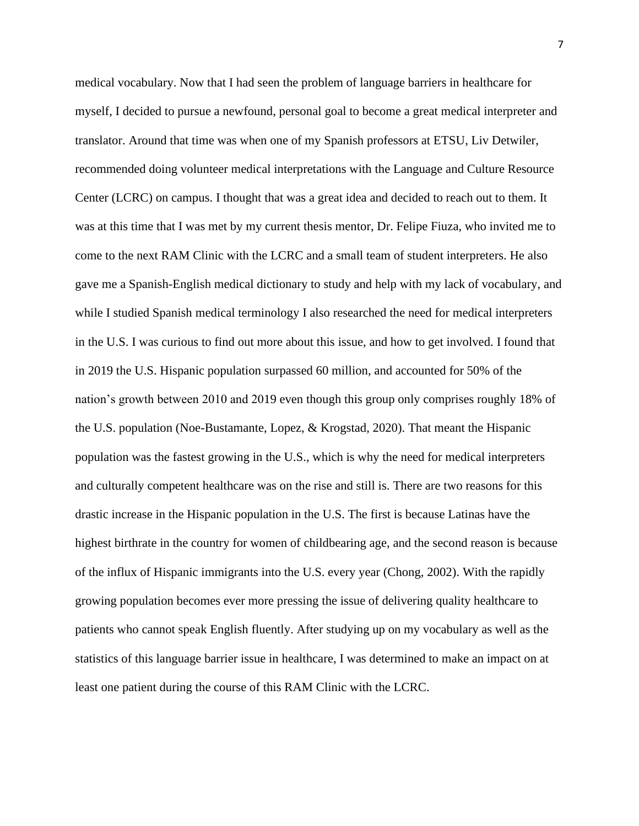medical vocabulary. Now that I had seen the problem of language barriers in healthcare for myself, I decided to pursue a newfound, personal goal to become a great medical interpreter and translator. Around that time was when one of my Spanish professors at ETSU, Liv Detwiler, recommended doing volunteer medical interpretations with the Language and Culture Resource Center (LCRC) on campus. I thought that was a great idea and decided to reach out to them. It was at this time that I was met by my current thesis mentor, Dr. Felipe Fiuza, who invited me to come to the next RAM Clinic with the LCRC and a small team of student interpreters. He also gave me a Spanish-English medical dictionary to study and help with my lack of vocabulary, and while I studied Spanish medical terminology I also researched the need for medical interpreters in the U.S. I was curious to find out more about this issue, and how to get involved. I found that in 2019 the U.S. Hispanic population surpassed 60 million, and accounted for 50% of the nation's growth between 2010 and 2019 even though this group only comprises roughly 18% of the U.S. population (Noe-Bustamante, Lopez, & Krogstad, 2020). That meant the Hispanic population was the fastest growing in the U.S., which is why the need for medical interpreters and culturally competent healthcare was on the rise and still is. There are two reasons for this drastic increase in the Hispanic population in the U.S. The first is because Latinas have the highest birthrate in the country for women of childbearing age, and the second reason is because of the influx of Hispanic immigrants into the U.S. every year (Chong, 2002). With the rapidly growing population becomes ever more pressing the issue of delivering quality healthcare to patients who cannot speak English fluently. After studying up on my vocabulary as well as the statistics of this language barrier issue in healthcare, I was determined to make an impact on at least one patient during the course of this RAM Clinic with the LCRC.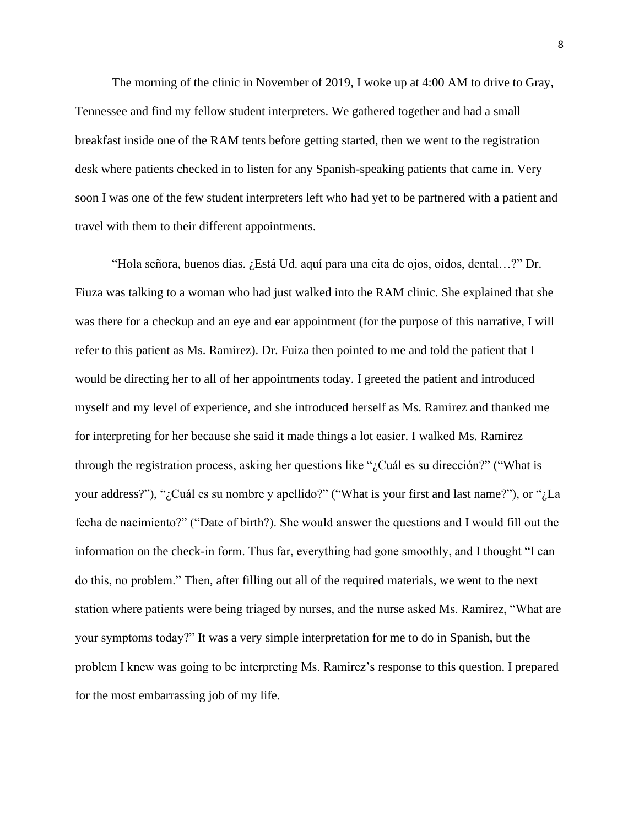The morning of the clinic in November of 2019, I woke up at 4:00 AM to drive to Gray, Tennessee and find my fellow student interpreters. We gathered together and had a small breakfast inside one of the RAM tents before getting started, then we went to the registration desk where patients checked in to listen for any Spanish-speaking patients that came in. Very soon I was one of the few student interpreters left who had yet to be partnered with a patient and travel with them to their different appointments.

"Hola señora, buenos días. ¿Está Ud. aquí para una cita de ojos, oídos, dental…?" Dr. Fiuza was talking to a woman who had just walked into the RAM clinic. She explained that she was there for a checkup and an eye and ear appointment (for the purpose of this narrative, I will refer to this patient as Ms. Ramirez). Dr. Fuiza then pointed to me and told the patient that I would be directing her to all of her appointments today. I greeted the patient and introduced myself and my level of experience, and she introduced herself as Ms. Ramirez and thanked me for interpreting for her because she said it made things a lot easier. I walked Ms. Ramirez through the registration process, asking her questions like "¿Cuál es su dirección?" ("What is your address?"), "¿Cuál es su nombre y apellido?" ("What is your first and last name?"), or "¿La fecha de nacimiento?" ("Date of birth?). She would answer the questions and I would fill out the information on the check-in form. Thus far, everything had gone smoothly, and I thought "I can do this, no problem." Then, after filling out all of the required materials, we went to the next station where patients were being triaged by nurses, and the nurse asked Ms. Ramirez, "What are your symptoms today?" It was a very simple interpretation for me to do in Spanish, but the problem I knew was going to be interpreting Ms. Ramirez's response to this question. I prepared for the most embarrassing job of my life.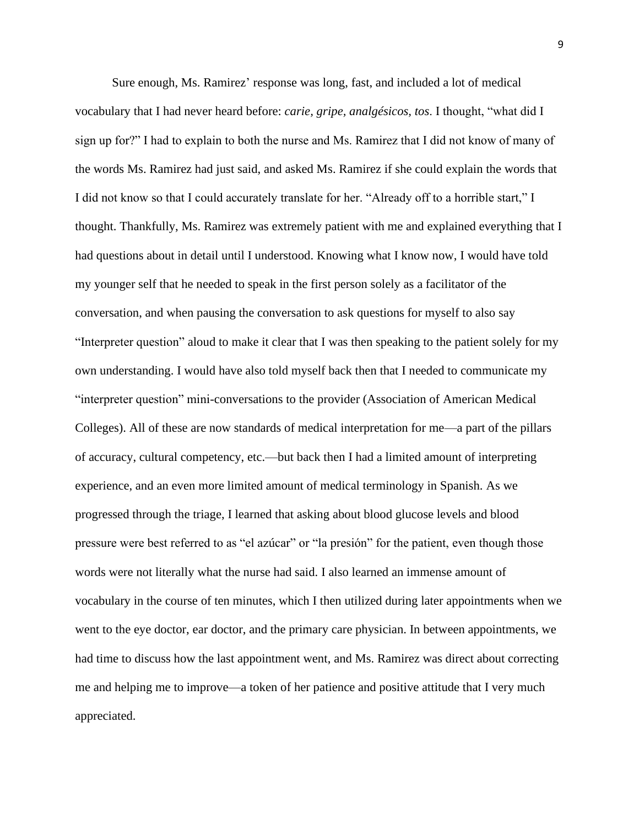Sure enough, Ms. Ramirez' response was long, fast, and included a lot of medical vocabulary that I had never heard before: *carie, gripe, analgésicos, tos*. I thought, "what did I sign up for?" I had to explain to both the nurse and Ms. Ramirez that I did not know of many of the words Ms. Ramirez had just said, and asked Ms. Ramirez if she could explain the words that I did not know so that I could accurately translate for her. "Already off to a horrible start," I thought. Thankfully, Ms. Ramirez was extremely patient with me and explained everything that I had questions about in detail until I understood. Knowing what I know now, I would have told my younger self that he needed to speak in the first person solely as a facilitator of the conversation, and when pausing the conversation to ask questions for myself to also say "Interpreter question" aloud to make it clear that I was then speaking to the patient solely for my own understanding. I would have also told myself back then that I needed to communicate my "interpreter question" mini-conversations to the provider (Association of American Medical Colleges). All of these are now standards of medical interpretation for me—a part of the pillars of accuracy, cultural competency, etc.—but back then I had a limited amount of interpreting experience, and an even more limited amount of medical terminology in Spanish. As we progressed through the triage, I learned that asking about blood glucose levels and blood pressure were best referred to as "el azúcar" or "la presión" for the patient, even though those words were not literally what the nurse had said. I also learned an immense amount of vocabulary in the course of ten minutes, which I then utilized during later appointments when we went to the eye doctor, ear doctor, and the primary care physician. In between appointments, we had time to discuss how the last appointment went, and Ms. Ramirez was direct about correcting me and helping me to improve—a token of her patience and positive attitude that I very much appreciated.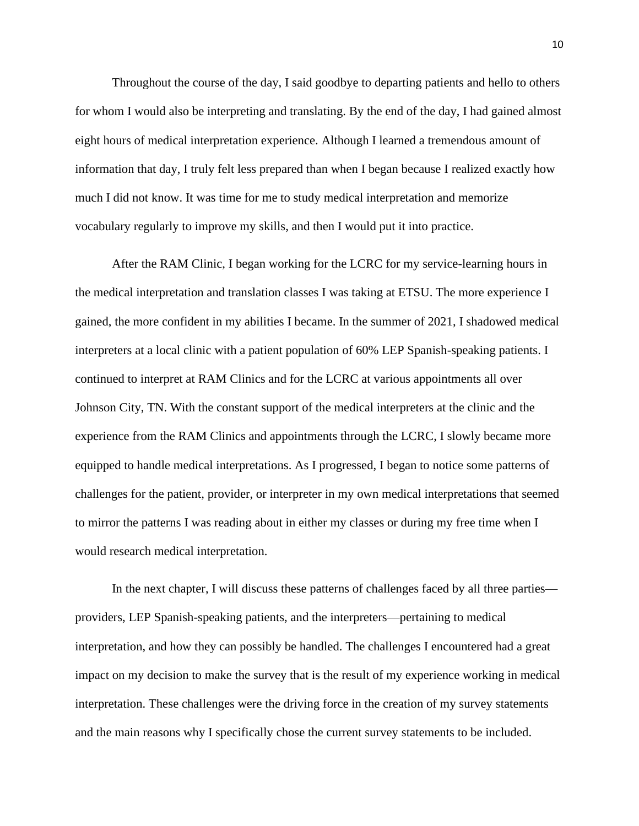Throughout the course of the day, I said goodbye to departing patients and hello to others for whom I would also be interpreting and translating. By the end of the day, I had gained almost eight hours of medical interpretation experience. Although I learned a tremendous amount of information that day, I truly felt less prepared than when I began because I realized exactly how much I did not know. It was time for me to study medical interpretation and memorize vocabulary regularly to improve my skills, and then I would put it into practice.

After the RAM Clinic, I began working for the LCRC for my service-learning hours in the medical interpretation and translation classes I was taking at ETSU. The more experience I gained, the more confident in my abilities I became. In the summer of 2021, I shadowed medical interpreters at a local clinic with a patient population of 60% LEP Spanish-speaking patients. I continued to interpret at RAM Clinics and for the LCRC at various appointments all over Johnson City, TN. With the constant support of the medical interpreters at the clinic and the experience from the RAM Clinics and appointments through the LCRC, I slowly became more equipped to handle medical interpretations. As I progressed, I began to notice some patterns of challenges for the patient, provider, or interpreter in my own medical interpretations that seemed to mirror the patterns I was reading about in either my classes or during my free time when I would research medical interpretation.

In the next chapter, I will discuss these patterns of challenges faced by all three parties providers, LEP Spanish-speaking patients, and the interpreters—pertaining to medical interpretation, and how they can possibly be handled. The challenges I encountered had a great impact on my decision to make the survey that is the result of my experience working in medical interpretation. These challenges were the driving force in the creation of my survey statements and the main reasons why I specifically chose the current survey statements to be included.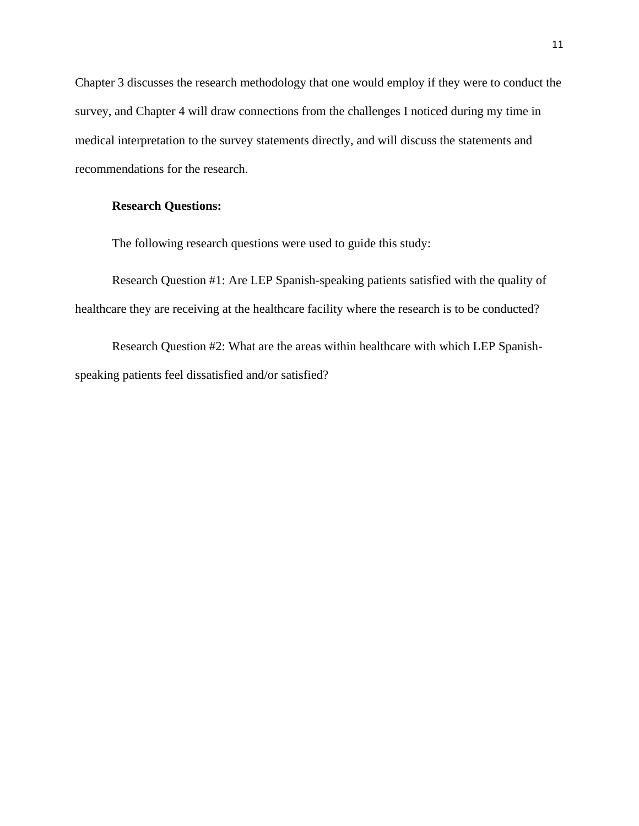Chapter 3 discusses the research methodology that one would employ if they were to conduct the survey, and Chapter 4 will draw connections from the challenges I noticed during my time in medical interpretation to the survey statements directly, and will discuss the statements and recommendations for the research.

#### **Research Questions:**

The following research questions were used to guide this study:

Research Question #1: Are LEP Spanish-speaking patients satisfied with the quality of healthcare they are receiving at the healthcare facility where the research is to be conducted?

Research Question #2: What are the areas within healthcare with which LEP Spanishspeaking patients feel dissatisfied and/or satisfied?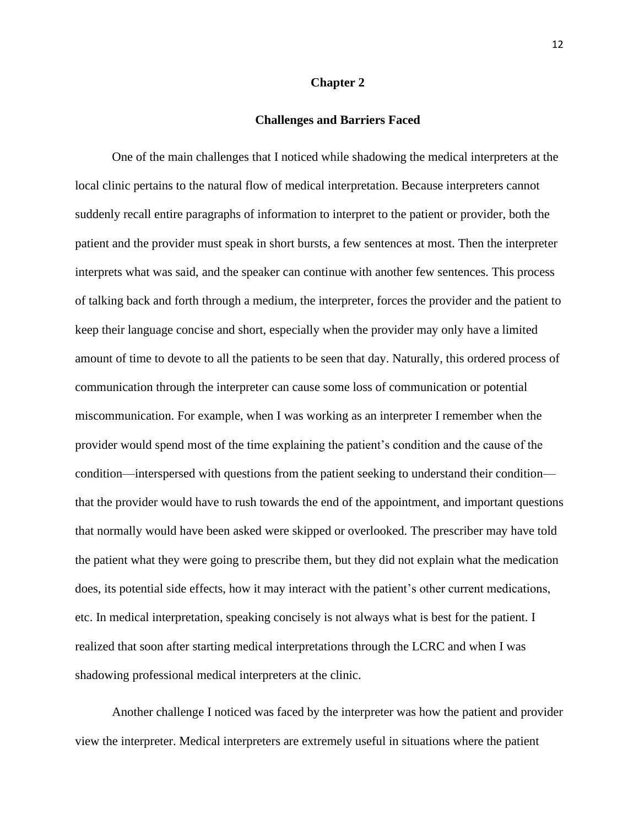#### **Chapter 2**

#### **Challenges and Barriers Faced**

One of the main challenges that I noticed while shadowing the medical interpreters at the local clinic pertains to the natural flow of medical interpretation. Because interpreters cannot suddenly recall entire paragraphs of information to interpret to the patient or provider, both the patient and the provider must speak in short bursts, a few sentences at most. Then the interpreter interprets what was said, and the speaker can continue with another few sentences. This process of talking back and forth through a medium, the interpreter, forces the provider and the patient to keep their language concise and short, especially when the provider may only have a limited amount of time to devote to all the patients to be seen that day. Naturally, this ordered process of communication through the interpreter can cause some loss of communication or potential miscommunication. For example, when I was working as an interpreter I remember when the provider would spend most of the time explaining the patient's condition and the cause of the condition—interspersed with questions from the patient seeking to understand their condition that the provider would have to rush towards the end of the appointment, and important questions that normally would have been asked were skipped or overlooked. The prescriber may have told the patient what they were going to prescribe them, but they did not explain what the medication does, its potential side effects, how it may interact with the patient's other current medications, etc. In medical interpretation, speaking concisely is not always what is best for the patient. I realized that soon after starting medical interpretations through the LCRC and when I was shadowing professional medical interpreters at the clinic.

Another challenge I noticed was faced by the interpreter was how the patient and provider view the interpreter. Medical interpreters are extremely useful in situations where the patient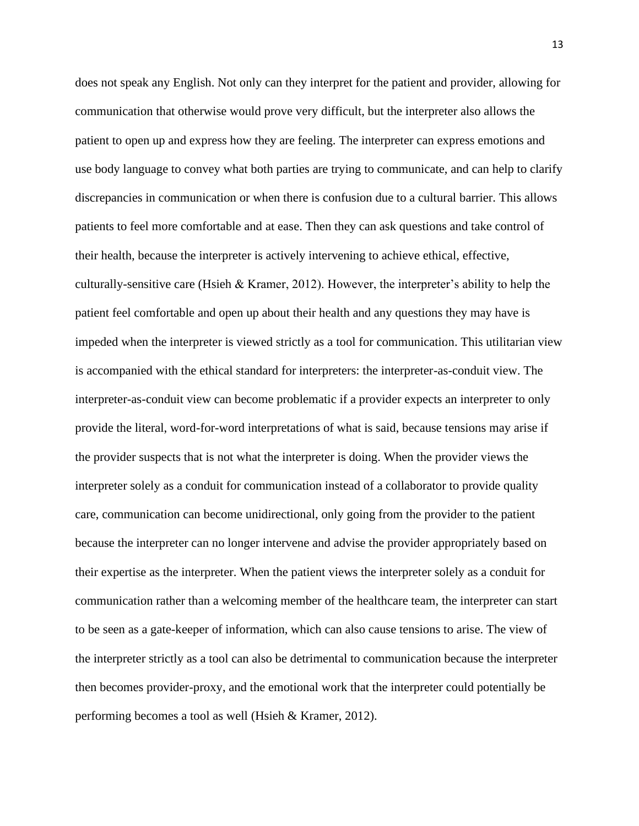does not speak any English. Not only can they interpret for the patient and provider, allowing for communication that otherwise would prove very difficult, but the interpreter also allows the patient to open up and express how they are feeling. The interpreter can express emotions and use body language to convey what both parties are trying to communicate, and can help to clarify discrepancies in communication or when there is confusion due to a cultural barrier. This allows patients to feel more comfortable and at ease. Then they can ask questions and take control of their health, because the interpreter is actively intervening to achieve ethical, effective, culturally-sensitive care (Hsieh & Kramer, 2012). However, the interpreter's ability to help the patient feel comfortable and open up about their health and any questions they may have is impeded when the interpreter is viewed strictly as a tool for communication. This utilitarian view is accompanied with the ethical standard for interpreters: the interpreter-as-conduit view. The interpreter-as-conduit view can become problematic if a provider expects an interpreter to only provide the literal, word-for-word interpretations of what is said, because tensions may arise if the provider suspects that is not what the interpreter is doing. When the provider views the interpreter solely as a conduit for communication instead of a collaborator to provide quality care, communication can become unidirectional, only going from the provider to the patient because the interpreter can no longer intervene and advise the provider appropriately based on their expertise as the interpreter. When the patient views the interpreter solely as a conduit for communication rather than a welcoming member of the healthcare team, the interpreter can start to be seen as a gate-keeper of information, which can also cause tensions to arise. The view of the interpreter strictly as a tool can also be detrimental to communication because the interpreter then becomes provider-proxy, and the emotional work that the interpreter could potentially be performing becomes a tool as well (Hsieh & Kramer, 2012).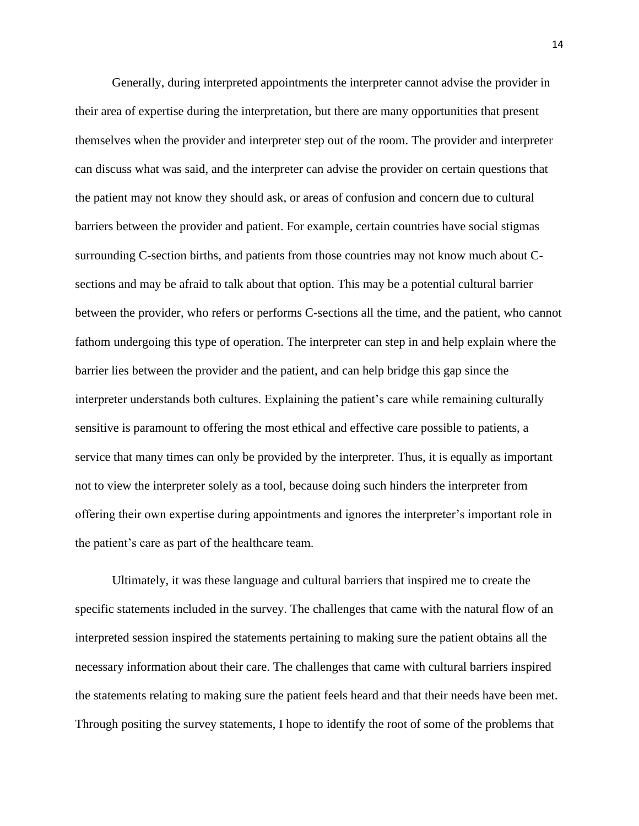Generally, during interpreted appointments the interpreter cannot advise the provider in their area of expertise during the interpretation, but there are many opportunities that present themselves when the provider and interpreter step out of the room. The provider and interpreter can discuss what was said, and the interpreter can advise the provider on certain questions that the patient may not know they should ask, or areas of confusion and concern due to cultural barriers between the provider and patient. For example, certain countries have social stigmas surrounding C-section births, and patients from those countries may not know much about Csections and may be afraid to talk about that option. This may be a potential cultural barrier between the provider, who refers or performs C-sections all the time, and the patient, who cannot fathom undergoing this type of operation. The interpreter can step in and help explain where the barrier lies between the provider and the patient, and can help bridge this gap since the interpreter understands both cultures. Explaining the patient's care while remaining culturally sensitive is paramount to offering the most ethical and effective care possible to patients, a service that many times can only be provided by the interpreter. Thus, it is equally as important not to view the interpreter solely as a tool, because doing such hinders the interpreter from offering their own expertise during appointments and ignores the interpreter's important role in the patient's care as part of the healthcare team.

Ultimately, it was these language and cultural barriers that inspired me to create the specific statements included in the survey. The challenges that came with the natural flow of an interpreted session inspired the statements pertaining to making sure the patient obtains all the necessary information about their care. The challenges that came with cultural barriers inspired the statements relating to making sure the patient feels heard and that their needs have been met. Through positing the survey statements, I hope to identify the root of some of the problems that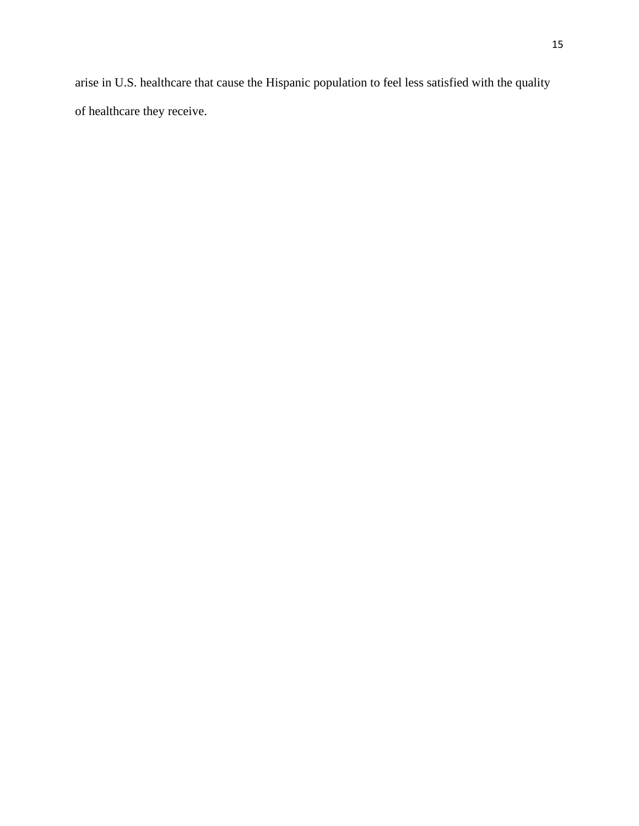arise in U.S. healthcare that cause the Hispanic population to feel less satisfied with the quality of healthcare they receive.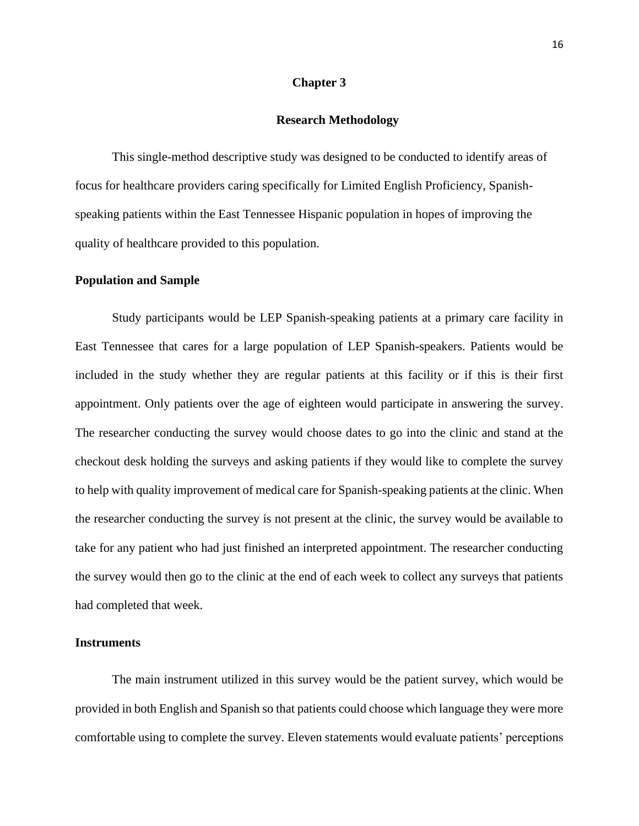#### **Chapter 3**

#### **Research Methodology**

This single-method descriptive study was designed to be conducted to identify areas of focus for healthcare providers caring specifically for Limited English Proficiency, Spanishspeaking patients within the East Tennessee Hispanic population in hopes of improving the quality of healthcare provided to this population.

#### **Population and Sample**

Study participants would be LEP Spanish-speaking patients at a primary care facility in East Tennessee that cares for a large population of LEP Spanish-speakers. Patients would be included in the study whether they are regular patients at this facility or if this is their first appointment. Only patients over the age of eighteen would participate in answering the survey. The researcher conducting the survey would choose dates to go into the clinic and stand at the checkout desk holding the surveys and asking patients if they would like to complete the survey to help with quality improvement of medical care for Spanish-speaking patients at the clinic. When the researcher conducting the survey is not present at the clinic, the survey would be available to take for any patient who had just finished an interpreted appointment. The researcher conducting the survey would then go to the clinic at the end of each week to collect any surveys that patients had completed that week.

#### **Instruments**

The main instrument utilized in this survey would be the patient survey, which would be provided in both English and Spanish so that patients could choose which language they were more comfortable using to complete the survey. Eleven statements would evaluate patients' perceptions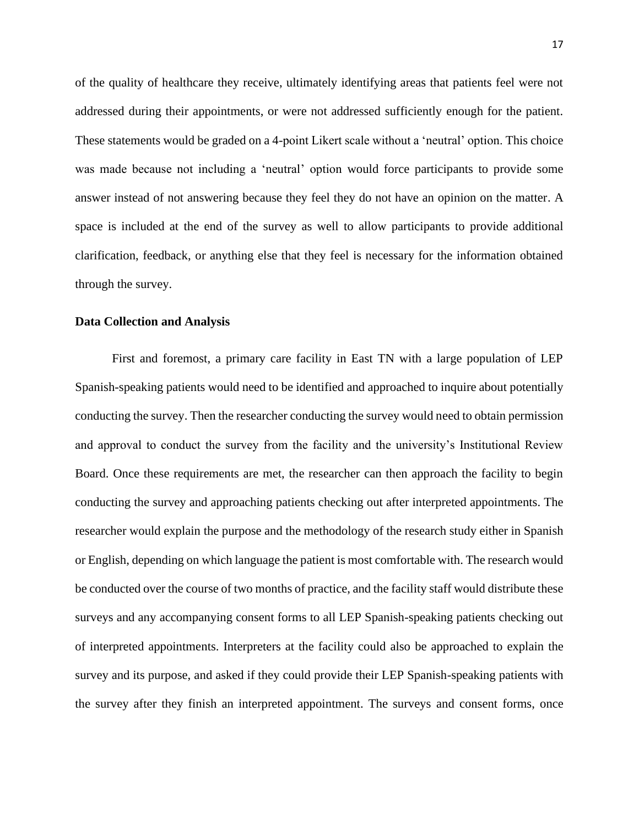of the quality of healthcare they receive, ultimately identifying areas that patients feel were not addressed during their appointments, or were not addressed sufficiently enough for the patient. These statements would be graded on a 4-point Likert scale without a 'neutral' option. This choice was made because not including a 'neutral' option would force participants to provide some answer instead of not answering because they feel they do not have an opinion on the matter. A space is included at the end of the survey as well to allow participants to provide additional clarification, feedback, or anything else that they feel is necessary for the information obtained through the survey.

#### **Data Collection and Analysis**

First and foremost, a primary care facility in East TN with a large population of LEP Spanish-speaking patients would need to be identified and approached to inquire about potentially conducting the survey. Then the researcher conducting the survey would need to obtain permission and approval to conduct the survey from the facility and the university's Institutional Review Board. Once these requirements are met, the researcher can then approach the facility to begin conducting the survey and approaching patients checking out after interpreted appointments. The researcher would explain the purpose and the methodology of the research study either in Spanish or English, depending on which language the patient is most comfortable with. The research would be conducted over the course of two months of practice, and the facility staff would distribute these surveys and any accompanying consent forms to all LEP Spanish-speaking patients checking out of interpreted appointments. Interpreters at the facility could also be approached to explain the survey and its purpose, and asked if they could provide their LEP Spanish-speaking patients with the survey after they finish an interpreted appointment. The surveys and consent forms, once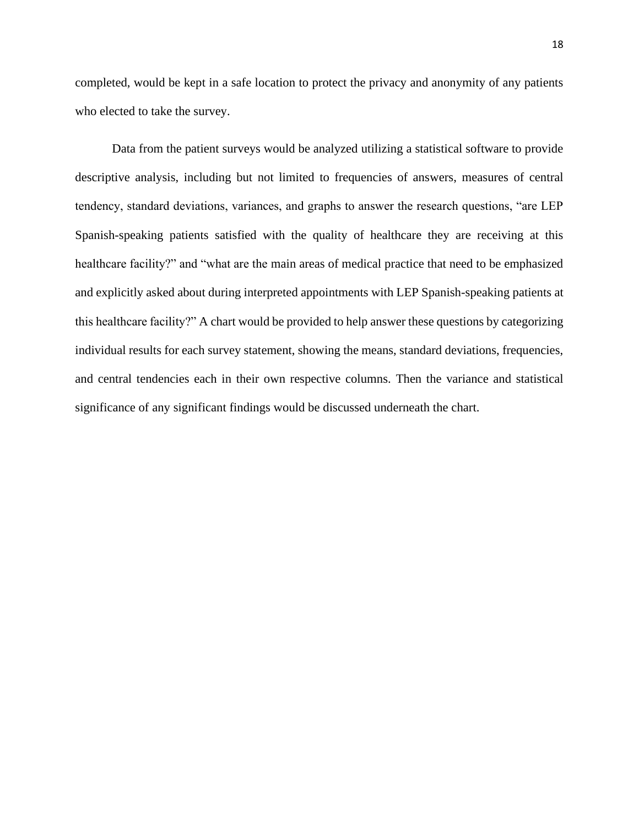completed, would be kept in a safe location to protect the privacy and anonymity of any patients who elected to take the survey.

Data from the patient surveys would be analyzed utilizing a statistical software to provide descriptive analysis, including but not limited to frequencies of answers, measures of central tendency, standard deviations, variances, and graphs to answer the research questions, "are LEP Spanish-speaking patients satisfied with the quality of healthcare they are receiving at this healthcare facility?" and "what are the main areas of medical practice that need to be emphasized and explicitly asked about during interpreted appointments with LEP Spanish-speaking patients at this healthcare facility?" A chart would be provided to help answer these questions by categorizing individual results for each survey statement, showing the means, standard deviations, frequencies, and central tendencies each in their own respective columns. Then the variance and statistical significance of any significant findings would be discussed underneath the chart.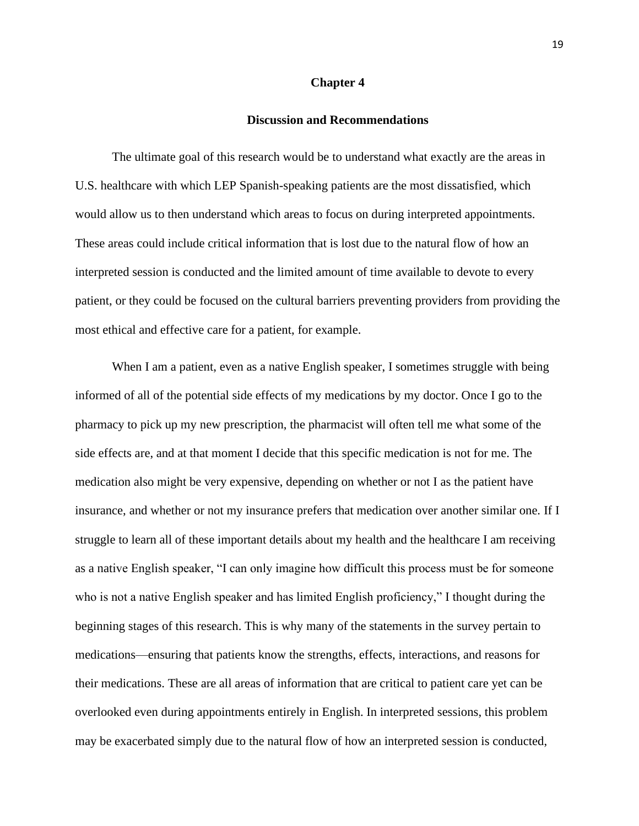#### **Chapter 4**

#### **Discussion and Recommendations**

The ultimate goal of this research would be to understand what exactly are the areas in U.S. healthcare with which LEP Spanish-speaking patients are the most dissatisfied, which would allow us to then understand which areas to focus on during interpreted appointments. These areas could include critical information that is lost due to the natural flow of how an interpreted session is conducted and the limited amount of time available to devote to every patient, or they could be focused on the cultural barriers preventing providers from providing the most ethical and effective care for a patient, for example.

When I am a patient, even as a native English speaker, I sometimes struggle with being informed of all of the potential side effects of my medications by my doctor. Once I go to the pharmacy to pick up my new prescription, the pharmacist will often tell me what some of the side effects are, and at that moment I decide that this specific medication is not for me. The medication also might be very expensive, depending on whether or not I as the patient have insurance, and whether or not my insurance prefers that medication over another similar one. If I struggle to learn all of these important details about my health and the healthcare I am receiving as a native English speaker, "I can only imagine how difficult this process must be for someone who is not a native English speaker and has limited English proficiency," I thought during the beginning stages of this research. This is why many of the statements in the survey pertain to medications—ensuring that patients know the strengths, effects, interactions, and reasons for their medications. These are all areas of information that are critical to patient care yet can be overlooked even during appointments entirely in English. In interpreted sessions, this problem may be exacerbated simply due to the natural flow of how an interpreted session is conducted,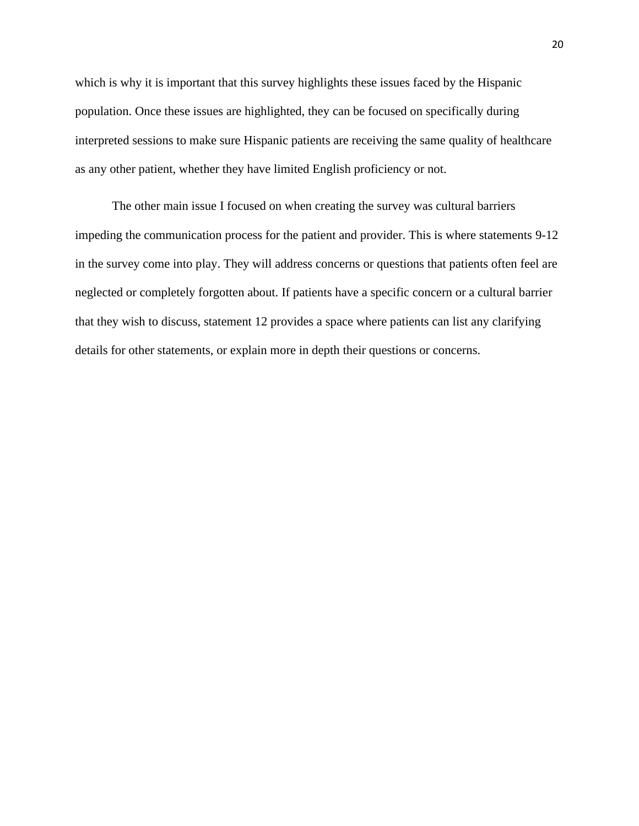which is why it is important that this survey highlights these issues faced by the Hispanic population. Once these issues are highlighted, they can be focused on specifically during interpreted sessions to make sure Hispanic patients are receiving the same quality of healthcare as any other patient, whether they have limited English proficiency or not.

The other main issue I focused on when creating the survey was cultural barriers impeding the communication process for the patient and provider. This is where statements 9-12 in the survey come into play. They will address concerns or questions that patients often feel are neglected or completely forgotten about. If patients have a specific concern or a cultural barrier that they wish to discuss, statement 12 provides a space where patients can list any clarifying details for other statements, or explain more in depth their questions or concerns.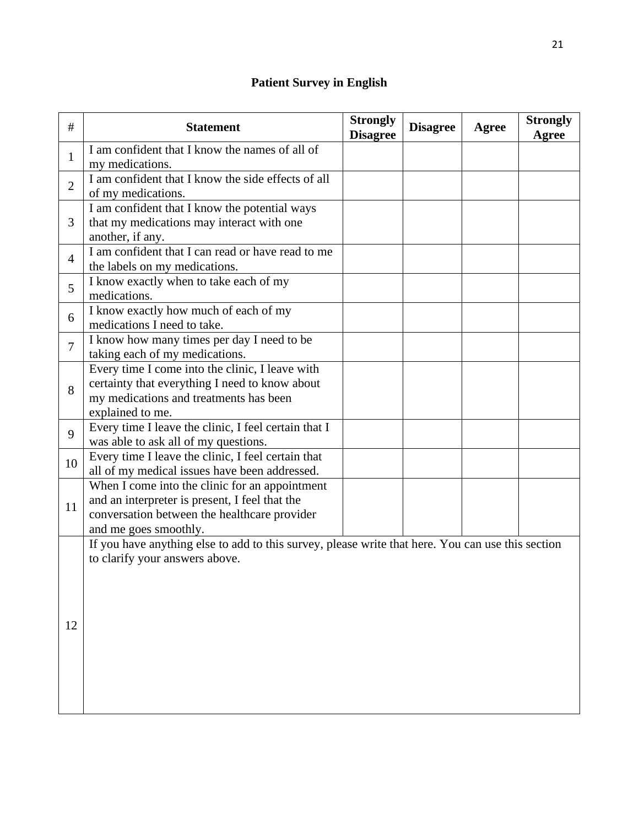## **Patient Survey in English**

| $\#$           | <b>Statement</b>                                                                                                                                                          | <b>Strongly</b><br><b>Disagree</b> | <b>Disagree</b> | Agree | <b>Strongly</b><br>Agree |
|----------------|---------------------------------------------------------------------------------------------------------------------------------------------------------------------------|------------------------------------|-----------------|-------|--------------------------|
| 1              | I am confident that I know the names of all of<br>my medications.                                                                                                         |                                    |                 |       |                          |
| $\overline{2}$ | I am confident that I know the side effects of all<br>of my medications.                                                                                                  |                                    |                 |       |                          |
| 3              | I am confident that I know the potential ways<br>that my medications may interact with one<br>another, if any.                                                            |                                    |                 |       |                          |
| 4              | I am confident that I can read or have read to me<br>the labels on my medications.                                                                                        |                                    |                 |       |                          |
| 5              | I know exactly when to take each of my<br>medications.                                                                                                                    |                                    |                 |       |                          |
| 6              | I know exactly how much of each of my<br>medications I need to take.                                                                                                      |                                    |                 |       |                          |
| 7              | I know how many times per day I need to be<br>taking each of my medications.                                                                                              |                                    |                 |       |                          |
| 8              | Every time I come into the clinic, I leave with<br>certainty that everything I need to know about<br>my medications and treatments has been<br>explained to me.           |                                    |                 |       |                          |
| 9              | Every time I leave the clinic, I feel certain that I<br>was able to ask all of my questions.                                                                              |                                    |                 |       |                          |
| 10             | Every time I leave the clinic, I feel certain that<br>all of my medical issues have been addressed.                                                                       |                                    |                 |       |                          |
| 11             | When I come into the clinic for an appointment<br>and an interpreter is present, I feel that the<br>conversation between the healthcare provider<br>and me goes smoothly. |                                    |                 |       |                          |
| 12             | If you have anything else to add to this survey, please write that here. You can use this section<br>to clarify your answers above.                                       |                                    |                 |       |                          |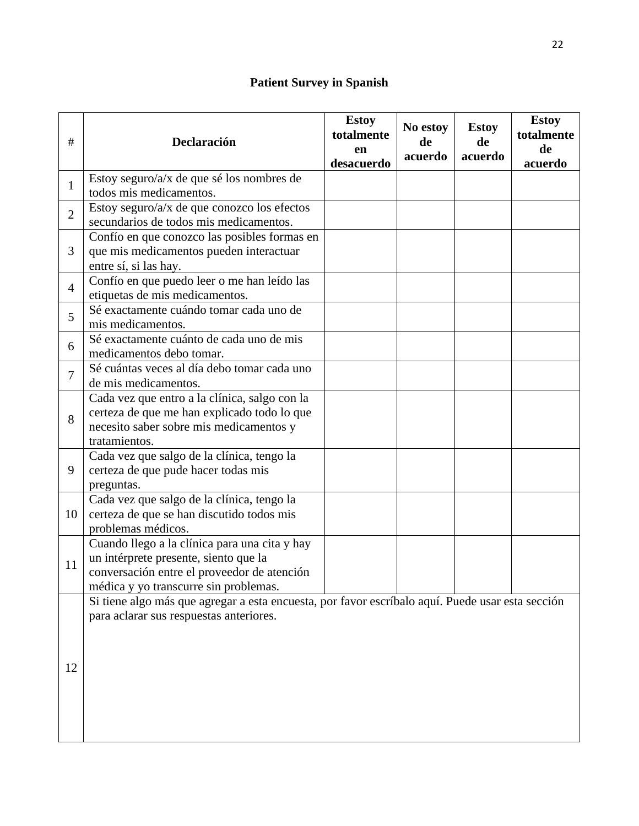## **Patient Survey in Spanish**

| $\#$           | Declaración                                                                                                                                                                    | <b>Estoy</b><br>totalmente<br>en<br>desacuerdo | No estoy<br>de<br>acuerdo | <b>Estoy</b><br>de<br>acuerdo | <b>Estoy</b><br>totalmente<br>de<br>acuerdo |
|----------------|--------------------------------------------------------------------------------------------------------------------------------------------------------------------------------|------------------------------------------------|---------------------------|-------------------------------|---------------------------------------------|
| $\mathbf{1}$   | Estoy seguro/a/x de que sé los nombres de<br>todos mis medicamentos.                                                                                                           |                                                |                           |                               |                                             |
| $\overline{2}$ | Estoy seguro/a/x de que conozco los efectos<br>secundarios de todos mis medicamentos.                                                                                          |                                                |                           |                               |                                             |
| 3              | Confío en que conozco las posibles formas en<br>que mis medicamentos pueden interactuar<br>entre sí, si las hay.                                                               |                                                |                           |                               |                                             |
| $\overline{4}$ | Confío en que puedo leer o me han leído las<br>etiquetas de mis medicamentos.                                                                                                  |                                                |                           |                               |                                             |
| 5              | Sé exactamente cuándo tomar cada uno de<br>mis medicamentos.                                                                                                                   |                                                |                           |                               |                                             |
| 6              | Sé exactamente cuánto de cada uno de mis<br>medicamentos debo tomar.                                                                                                           |                                                |                           |                               |                                             |
| $\overline{7}$ | Sé cuántas veces al día debo tomar cada uno<br>de mis medicamentos.                                                                                                            |                                                |                           |                               |                                             |
| 8              | Cada vez que entro a la clínica, salgo con la<br>certeza de que me han explicado todo lo que<br>necesito saber sobre mis medicamentos y<br>tratamientos.                       |                                                |                           |                               |                                             |
| 9              | Cada vez que salgo de la clínica, tengo la<br>certeza de que pude hacer todas mis<br>preguntas.                                                                                |                                                |                           |                               |                                             |
| 10             | Cada vez que salgo de la clínica, tengo la<br>certeza de que se han discutido todos mis<br>problemas médicos.                                                                  |                                                |                           |                               |                                             |
| 11             | Cuando llego a la clínica para una cita y hay<br>un intérprete presente, siento que la<br>conversación entre el proveedor de atención<br>médica y yo transcurre sin problemas. |                                                |                           |                               |                                             |
| 12             | Si tiene algo más que agregar a esta encuesta, por favor escríbalo aquí. Puede usar esta sección<br>para aclarar sus respuestas anteriores.                                    |                                                |                           |                               |                                             |
|                |                                                                                                                                                                                |                                                |                           |                               |                                             |